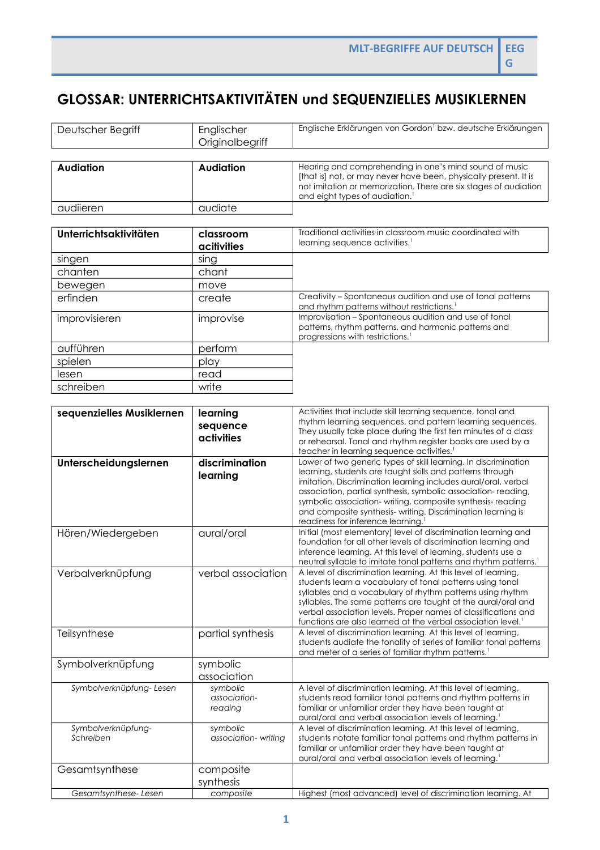## **GLOSSAR: UNTERRICHTSAKTIVITÄTEN und SEQUENZIELLES MUSIKLERNEN**

| Deutscher Begriff               | Englischer                          | Englische Erklärungen von Gordon <sup>1</sup> bzw. deutsche Erklärungen                                                                                                                                                                                                                                                                                                                                                                        |
|---------------------------------|-------------------------------------|------------------------------------------------------------------------------------------------------------------------------------------------------------------------------------------------------------------------------------------------------------------------------------------------------------------------------------------------------------------------------------------------------------------------------------------------|
|                                 | Originalbegriff                     |                                                                                                                                                                                                                                                                                                                                                                                                                                                |
|                                 |                                     |                                                                                                                                                                                                                                                                                                                                                                                                                                                |
| <b>Audiation</b>                | <b>Audiation</b>                    | Hearing and comprehending in one's mind sound of music<br>[that is] not, or may never have been, physically present. It is<br>not imitation or memorization. There are six stages of audiation<br>and eight types of audiation. <sup>1</sup>                                                                                                                                                                                                   |
| audiieren                       | audiate                             |                                                                                                                                                                                                                                                                                                                                                                                                                                                |
|                                 |                                     |                                                                                                                                                                                                                                                                                                                                                                                                                                                |
| Unterrichtsaktivitäten          | classroom<br>acitivities            | Traditional activities in classroom music coordinated with<br>learning sequence activities. <sup>1</sup>                                                                                                                                                                                                                                                                                                                                       |
| singen                          | sing                                |                                                                                                                                                                                                                                                                                                                                                                                                                                                |
| chanten                         | chant                               |                                                                                                                                                                                                                                                                                                                                                                                                                                                |
| bewegen                         | move                                |                                                                                                                                                                                                                                                                                                                                                                                                                                                |
| erfinden                        | create                              | Creativity - Spontaneous audition and use of tonal patterns<br>and rhythm patterns without restrictions. <sup>1</sup>                                                                                                                                                                                                                                                                                                                          |
| improvisieren                   | improvise                           | Improvisation - Spontaneous audition and use of tonal<br>patterns, rhythm patterns, and harmonic patterns and<br>progressions with restrictions. <sup>1</sup>                                                                                                                                                                                                                                                                                  |
| aufführen                       | perform                             |                                                                                                                                                                                                                                                                                                                                                                                                                                                |
| spielen                         | play                                |                                                                                                                                                                                                                                                                                                                                                                                                                                                |
| lesen                           | read                                |                                                                                                                                                                                                                                                                                                                                                                                                                                                |
| schreiben                       | write                               |                                                                                                                                                                                                                                                                                                                                                                                                                                                |
|                                 |                                     |                                                                                                                                                                                                                                                                                                                                                                                                                                                |
| sequenzielles Musiklernen       | learning<br>sequence<br>activities  | Activities that include skill learning sequence, tonal and<br>rhythm learning sequences, and pattern learning sequences.<br>They usually take place during the first ten minutes of a class<br>or rehearsal. Tonal and rhythm register books are used by a<br>teacher in learning sequence activities. <sup>1</sup>                                                                                                                            |
| Unterscheidungslernen           | discrimination<br>learning          | Lower of two generic types of skill learning. In discrimination<br>learning, students are taught skills and patterns through<br>imitation. Discrimination learning includes aural/oral, verbal<br>association, partial synthesis, symbolic association-reading,<br>symbolic association-writing, composite synthesis-reading<br>and composite synthesis- writing. Discrimination learning is<br>readiness for inference learning. <sup>1</sup> |
| Hören/Wiedergeben               | aural/oral                          | Initial (most elementary) level of discrimination learning and<br>foundation for all other levels of discrimination learning and<br>inference learning. At this level of learning, students use a<br>neutral syllable to imitate tonal patterns and rhythm patterns. <sup>1</sup>                                                                                                                                                              |
| Verbalverknüpfung               | verbal association                  | A level of discrimination learning. At this level of learning,<br>students learn a vocabulary of tonal patterns using tonal<br>syllables and a vocabulary of rhythm patterns using rhythm<br>syllables. The same patterns are taught at the aural/oral and<br>verbal association levels. Proper names of classifications and<br>functions are also learned at the verbal association level. <sup>1</sup>                                       |
| Teilsynthese                    | partial synthesis                   | A level of discrimination learning. At this level of learning,<br>students audiate the tonality of series of familiar tonal patterns<br>and meter of a series of familiar rhythm patterns. <sup>1</sup>                                                                                                                                                                                                                                        |
| Symbolverknüpfung               | symbolic<br>association             |                                                                                                                                                                                                                                                                                                                                                                                                                                                |
| Symbolverknüpfung-Lesen         | symbolic<br>association-<br>reading | A level of discrimination learning. At this level of learning,<br>students read familiar tonal patterns and rhythm patterns in<br>familiar or unfamiliar order they have been taught at<br>aural/oral and verbal association levels of learning."                                                                                                                                                                                              |
| Symbolverknüpfung-<br>Schreiben | symbolic<br>association-writing     | A level of discrimination learning. At this level of learning,<br>students notate familiar tonal patterns and rhythm patterns in<br>familiar or unfamiliar order they have been taught at<br>aural/oral and verbal association levels of learning. <sup>1</sup>                                                                                                                                                                                |
| Gesamtsynthese                  | composite                           |                                                                                                                                                                                                                                                                                                                                                                                                                                                |
| Gesamtsynthese-Lesen            | synthesis<br>composite              | Highest (most advanced) level of discrimination learning. At                                                                                                                                                                                                                                                                                                                                                                                   |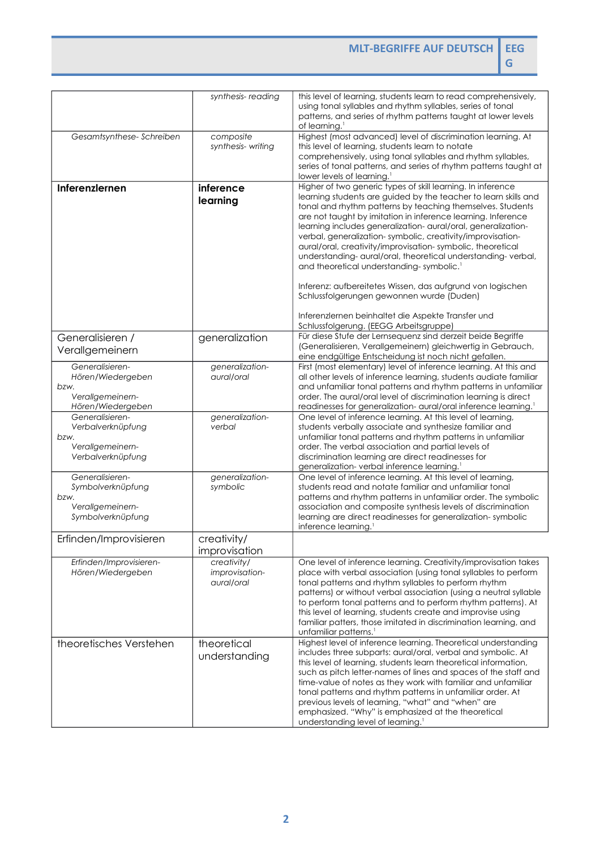**MLT-BEGRIFFE AUF DEUTSCH EEG**

**G**

|                                                                                       | synthesis-reading                           | this level of learning, students learn to read comprehensively,<br>using tonal syllables and rhythm syllables, series of tonal<br>patterns, and series of rhythm patterns taught at lower levels<br>of learning. <sup>1</sup>                                                                                                                                                                                                                                                                                                                                                                                                                                                                                                                                                                |
|---------------------------------------------------------------------------------------|---------------------------------------------|----------------------------------------------------------------------------------------------------------------------------------------------------------------------------------------------------------------------------------------------------------------------------------------------------------------------------------------------------------------------------------------------------------------------------------------------------------------------------------------------------------------------------------------------------------------------------------------------------------------------------------------------------------------------------------------------------------------------------------------------------------------------------------------------|
| Gesamtsynthese-Schreiben                                                              | composite<br>synthesis-writing              | Highest (most advanced) level of discrimination learning. At<br>this level of learning, students learn to notate<br>comprehensively, using tonal syllables and rhythm syllables,<br>series of tonal patterns, and series of rhythm patterns taught at<br>lower levels of learning. <sup>1</sup>                                                                                                                                                                                                                                                                                                                                                                                                                                                                                              |
| Inferenzlernen                                                                        | inference<br>learning                       | Higher of two generic types of skill learning. In inference<br>learning students are guided by the teacher to learn skills and<br>tonal and rhythm patterns by teaching themselves. Students<br>are not taught by imitation in inference learning. Inference<br>learning includes generalization- aural/oral, generalization-<br>verbal, generalization-symbolic, creativity/improvisation-<br>aural/oral, creativity/improvisation-symbolic, theoretical<br>understanding- aural/oral, theoretical understanding-verbal,<br>and theoretical understanding-symbolic. <sup>1</sup><br>Inferenz: aufbereitetes Wissen, das aufgrund von logischen<br>Schlussfolgerungen gewonnen wurde (Duden)<br>Inferenzlernen beinhaltet die Aspekte Transfer und<br>Schlussfolgerung. (EEGG Arbeitsgruppe) |
| Generalisieren /<br>Verallgemeinern                                                   | generalization                              | Für diese Stufe der Lernsequenz sind derzeit beide Begriffe<br>(Generalisieren, Verallgemeinern) gleichwertig in Gebrauch,<br>eine endgültige Entscheidung ist noch nicht gefallen.                                                                                                                                                                                                                                                                                                                                                                                                                                                                                                                                                                                                          |
| Generalisieren-<br>Hören/Wiedergeben<br>bzw.<br>Verallgemeinern-<br>Hören/Wiedergeben | generalization-<br>aural/oral               | First (most elementary) level of inference learning. At this and<br>all other levels of inference learning, students audiate familiar<br>and unfamiliar tonal patterns and rhythm patterns in unfamiliar<br>order. The aural/oral level of discrimination learning is direct<br>readinesses for generalization- aural/oral inference learning. <sup>1</sup>                                                                                                                                                                                                                                                                                                                                                                                                                                  |
| Generalisieren-<br>Verbalverknüpfung<br>bzw.<br>Verallgemeinern-<br>Verbalverknüpfung | generalization-<br>verbal                   | One level of inference learning. At this level of learning,<br>students verbally associate and synthesize familiar and<br>unfamiliar tonal patterns and rhythm patterns in unfamiliar<br>order. The verbal association and partial levels of<br>discrimination learning are direct readinesses for<br>generalization- verbal inference learning. <sup>1</sup>                                                                                                                                                                                                                                                                                                                                                                                                                                |
| Generalisieren-<br>Symbolverknüpfung<br>bzw.<br>Verallgemeinern-<br>Symbolverknüpfung | generalization-<br>symbolic                 | One level of inference learning. At this level of learning,<br>students read and notate familiar and unfamiliar tonal<br>patterns and rhythm patterns in unfamiliar order. The symbolic<br>association and composite synthesis levels of discrimination<br>learning are direct readinesses for generalization-symbolic<br>inference learning. <sup>1</sup>                                                                                                                                                                                                                                                                                                                                                                                                                                   |
| Erfinden/Improvisieren                                                                | creativity/<br>improvisation                |                                                                                                                                                                                                                                                                                                                                                                                                                                                                                                                                                                                                                                                                                                                                                                                              |
| Erfinden/Improvisieren-<br>Hören/Wiedergeben                                          | creativity/<br>improvisation-<br>aural/oral | One level of inference learning. Creativity/improvisation takes<br>place with verbal association (using tonal syllables to perform<br>tonal patterns and rhythm syllables to perform rhythm<br>patterns) or without verbal association (using a neutral syllable<br>to perform tonal patterns and to perform rhythm patterns). At<br>this level of learning, students create and improvise using<br>familiar patters, those imitated in discrimination learning, and<br>unfamiliar patterns. <sup>1</sup>                                                                                                                                                                                                                                                                                    |
| theoretisches Verstehen                                                               | theoretical<br>understanding                | Highest level of inference learning. Theoretical understanding<br>includes three subparts: aural/oral, verbal and symbolic. At<br>this level of learning, students learn theoretical information,<br>such as pitch letter-names of lines and spaces of the staff and<br>time-value of notes as they work with familiar and unfamiliar<br>tonal patterns and rhythm patterns in unfamiliar order. At<br>previous levels of learning, "what" and "when" are<br>emphasized. "Why" is emphasized at the theoretical<br>understanding level of learning. <sup>1</sup>                                                                                                                                                                                                                             |